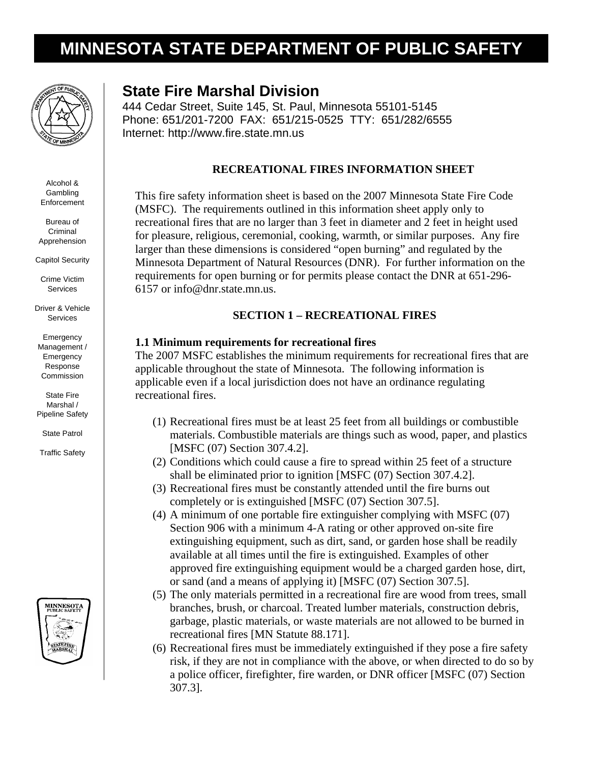# **MINNESOTA STATE DEPARTMENT OF PUBLIC SAFETY**



Alcohol & Gambling **Enforcement** 

Bureau of Criminal Apprehension

Capitol Security

Crime Victim **Services** 

Driver & Vehicle Services

Emergency Management / **Emergency** Response Commission

State Fire Marshal / Pipeline Safety

State Patrol

Traffic Safety



## **State Fire Marshal Division**

444 Cedar Street, Suite 145, St. Paul, Minnesota 55101-5145 Phone: 651/201-7200 FAX: 651/215-0525 TTY: 651/282/6555 Internet: http://www.fire.state.mn.us

#### **RECREATIONAL FIRES INFORMATION SHEET**

This fire safety information sheet is based on the 2007 Minnesota State Fire Code (MSFC). The requirements outlined in this information sheet apply only to recreational fires that are no larger than 3 feet in diameter and 2 feet in height used for pleasure, religious, ceremonial, cooking, warmth, or similar purposes. Any fire larger than these dimensions is considered "open burning" and regulated by the Minnesota Department of Natural Resources (DNR). For further information on the requirements for open burning or for permits please contact the DNR at 651-296- 6157 or info@dnr.state.mn.us.

#### **SECTION 1 – RECREATIONAL FIRES**

#### **1.1 Minimum requirements for recreational fires**

The 2007 MSFC establishes the minimum requirements for recreational fires that are applicable throughout the state of Minnesota. The following information is applicable even if a local jurisdiction does not have an ordinance regulating recreational fires.

- (1) Recreational fires must be at least 25 feet from all buildings or combustible materials. Combustible materials are things such as wood, paper, and plastics [MSFC (07) Section 307.4.2].
- (2) Conditions which could cause a fire to spread within 25 feet of a structure shall be eliminated prior to ignition [MSFC (07) Section 307.4.2].
- (3) Recreational fires must be constantly attended until the fire burns out completely or is extinguished [MSFC (07) Section 307.5].
- (4) A minimum of one portable fire extinguisher complying with MSFC (07) Section 906 with a minimum 4-A rating or other approved on-site fire extinguishing equipment, such as dirt, sand, or garden hose shall be readily available at all times until the fire is extinguished. Examples of other approved fire extinguishing equipment would be a charged garden hose, dirt, or sand (and a means of applying it) [MSFC (07) Section 307.5].
- (5) The only materials permitted in a recreational fire are wood from trees, small branches, brush, or charcoal. Treated lumber materials, construction debris, garbage, plastic materials, or waste materials are not allowed to be burned in recreational fires [MN Statute 88.171].
- (6) Recreational fires must be immediately extinguished if they pose a fire safety risk, if they are not in compliance with the above, or when directed to do so by a police officer, firefighter, fire warden, or DNR officer [MSFC (07) Section 307.3].